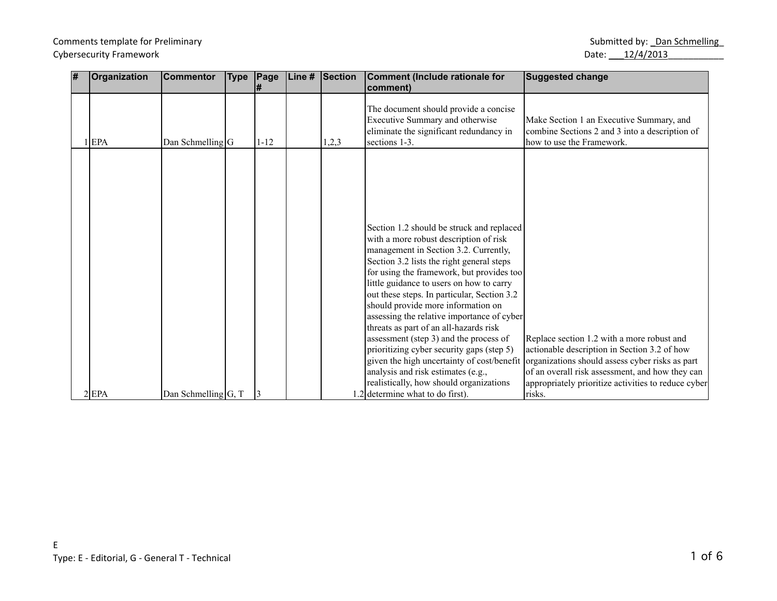# Comments template for Preliminary and the state of the state of the Submitted by: Language Submitted by: Language Submitted by: Language Submitted by: Language Submitted by: Language Submitted by: Language Submitted by: La Cybersecurity Framework Date: 22/4/2013

| # | Organization | <b>Commentor</b>        | <b>Type</b> | Page     | Line # | Section | Comment (Include rationale for<br>comment)                                                                                           | <b>Suggested change</b>                                                                                                                                                                              |
|---|--------------|-------------------------|-------------|----------|--------|---------|--------------------------------------------------------------------------------------------------------------------------------------|------------------------------------------------------------------------------------------------------------------------------------------------------------------------------------------------------|
|   | 1 EPA        | Dan Schmelling $ G $    |             | $1 - 12$ |        | 1,2,3   | The document should provide a concise<br>Executive Summary and otherwise<br>eliminate the significant redundancy in<br>sections 1-3. | Make Section 1 an Executive Summary, and<br>combine Sections 2 and 3 into a description of<br>how to use the Framework.                                                                              |
|   |              |                         |             |          |        |         |                                                                                                                                      |                                                                                                                                                                                                      |
|   |              |                         |             |          |        |         |                                                                                                                                      |                                                                                                                                                                                                      |
|   |              |                         |             |          |        |         | Section 1.2 should be struck and replaced<br>with a more robust description of risk<br>management in Section 3.2. Currently,         |                                                                                                                                                                                                      |
|   |              |                         |             |          |        |         | Section 3.2 lists the right general steps<br>for using the framework, but provides too<br>little guidance to users on how to carry   |                                                                                                                                                                                                      |
|   |              |                         |             |          |        |         | out these steps. In particular, Section 3.2<br>should provide more information on<br>assessing the relative importance of cyber      |                                                                                                                                                                                                      |
|   |              |                         |             |          |        |         | threats as part of an all-hazards risk<br>assessment (step 3) and the process of<br>prioritizing cyber security gaps (step 5)        | Replace section 1.2 with a more robust and<br>actionable description in Section 3.2 of how                                                                                                           |
|   |              |                         |             |          |        |         | analysis and risk estimates (e.g.,<br>realistically, how should organizations                                                        | given the high uncertainty of cost/benefit organizations should assess cyber risks as part<br>of an overall risk assessment, and how they can<br>appropriately prioritize activities to reduce cyber |
|   | $2$ EPA      | Dan Schmelling $ G, T $ |             |          |        |         | 1.2 determine what to do first).                                                                                                     | risks.                                                                                                                                                                                               |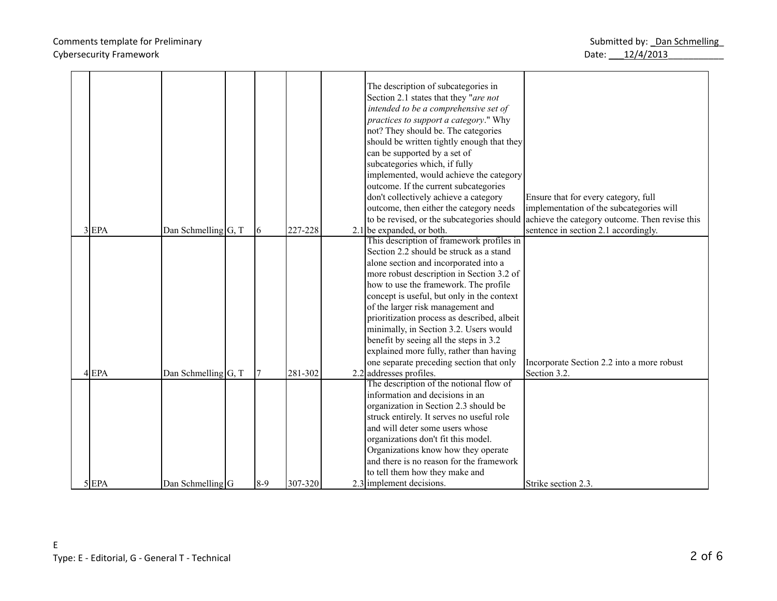## Comments template for Preliminary and the state of the state of the Submitted by: Language Submitted by: Language Submitted by: Language Submitted by: Language Submitted by: Language Submitted by: Language Submitted by: La Cybersecurity Framework Date: 22/4/2013

|  | $3$ EPA   | Dan Schmelling $ G, T $ | 6     | 227-228 | The description of subcategories in<br>Section 2.1 states that they "are not<br>intended to be a comprehensive set of<br>practices to support a category." Why<br>not? They should be. The categories<br>should be written tightly enough that they<br>can be supported by a set of<br>subcategories which, if fully<br>implemented, would achieve the category<br>outcome. If the current subcategories<br>don't collectively achieve a category<br>outcome, then either the category needs<br>$2.1$ be expanded, or both.<br>This description of framework profiles in<br>Section 2.2 should be struck as a stand<br>alone section and incorporated into a<br>more robust description in Section 3.2 of<br>how to use the framework. The profile<br>concept is useful, but only in the context<br>of the larger risk management and<br>prioritization process as described, albeit<br>minimally, in Section 3.2. Users would | Ensure that for every category, full<br>implementation of the subcategories will<br>to be revised, or the subcategories should achieve the category outcome. Then revise this<br>sentence in section 2.1 accordingly. |
|--|-----------|-------------------------|-------|---------|--------------------------------------------------------------------------------------------------------------------------------------------------------------------------------------------------------------------------------------------------------------------------------------------------------------------------------------------------------------------------------------------------------------------------------------------------------------------------------------------------------------------------------------------------------------------------------------------------------------------------------------------------------------------------------------------------------------------------------------------------------------------------------------------------------------------------------------------------------------------------------------------------------------------------------|-----------------------------------------------------------------------------------------------------------------------------------------------------------------------------------------------------------------------|
|  |           |                         |       |         | benefit by seeing all the steps in 3.2<br>explained more fully, rather than having<br>one separate preceding section that only                                                                                                                                                                                                                                                                                                                                                                                                                                                                                                                                                                                                                                                                                                                                                                                                 | Incorporate Section 2.2 into a more robust                                                                                                                                                                            |
|  | $4$ EPA   | Dan Schmelling $ G, T $ |       | 281-302 | 2.2 addresses profiles.                                                                                                                                                                                                                                                                                                                                                                                                                                                                                                                                                                                                                                                                                                                                                                                                                                                                                                        | Section 3.2.                                                                                                                                                                                                          |
|  | $5$ $EPA$ | $Dan$ Schmelling $G$    | $8-9$ | 307-320 | The description of the notional flow of<br>information and decisions in an<br>organization in Section 2.3 should be<br>struck entirely. It serves no useful role<br>and will deter some users whose<br>organizations don't fit this model.<br>Organizations know how they operate<br>and there is no reason for the framework<br>to tell them how they make and<br>2.3 implement decisions.                                                                                                                                                                                                                                                                                                                                                                                                                                                                                                                                    | Strike section 2.3.                                                                                                                                                                                                   |
|  |           |                         |       |         |                                                                                                                                                                                                                                                                                                                                                                                                                                                                                                                                                                                                                                                                                                                                                                                                                                                                                                                                |                                                                                                                                                                                                                       |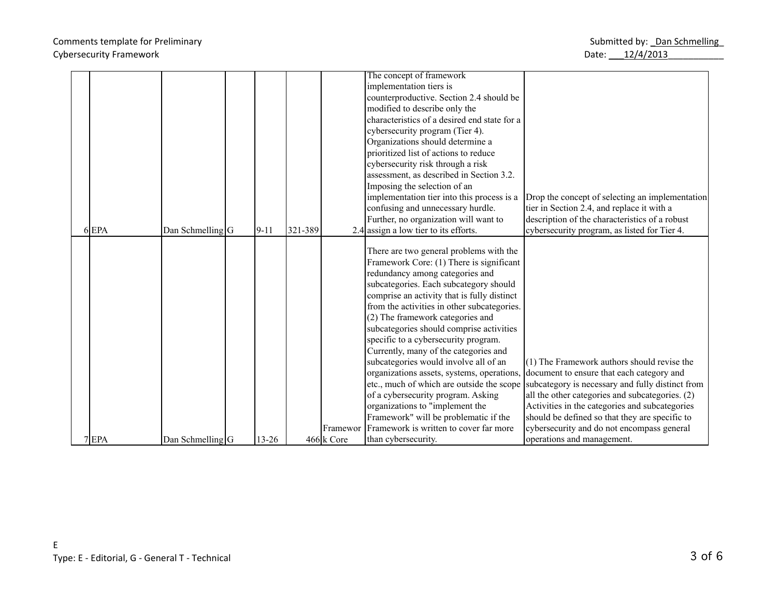## Comments template for Preliminary and the state of the state of the Submitted by: Language Submitted by: Language Submitted by: Language Submitted by: Language Submitted by: Language Submitted by: Language Submitted by: La Cybersecurity Framework Date: 12/4/2013

|  |         |                    |           |         |            | The concept of framework                     |                                                                                      |
|--|---------|--------------------|-----------|---------|------------|----------------------------------------------|--------------------------------------------------------------------------------------|
|  |         |                    |           |         |            | implementation tiers is                      |                                                                                      |
|  |         |                    |           |         |            | counterproductive. Section 2.4 should be     |                                                                                      |
|  |         |                    |           |         |            | modified to describe only the                |                                                                                      |
|  |         |                    |           |         |            | characteristics of a desired end state for a |                                                                                      |
|  |         |                    |           |         |            | cybersecurity program (Tier 4).              |                                                                                      |
|  |         |                    |           |         |            | Organizations should determine a             |                                                                                      |
|  |         |                    |           |         |            | prioritized list of actions to reduce        |                                                                                      |
|  |         |                    |           |         |            | cybersecurity risk through a risk            |                                                                                      |
|  |         |                    |           |         |            | assessment, as described in Section 3.2.     |                                                                                      |
|  |         |                    |           |         |            | Imposing the selection of an                 |                                                                                      |
|  |         |                    |           |         |            | implementation tier into this process is a   | Drop the concept of selecting an implementation                                      |
|  |         |                    |           |         |            | confusing and unnecessary hurdle.            | tier in Section 2.4, and replace it with a                                           |
|  |         |                    |           |         |            | Further, no organization will want to        | description of the characteristics of a robust                                       |
|  | $6$ EPA | Dan Schmelling G   | $9 - 11$  | 321-389 |            | 2.4 assign a low tier to its efforts.        | cybersecurity program, as listed for Tier 4.                                         |
|  |         |                    |           |         |            |                                              |                                                                                      |
|  |         |                    |           |         |            | There are two general problems with the      |                                                                                      |
|  |         |                    |           |         |            | Framework Core: (1) There is significant     |                                                                                      |
|  |         |                    |           |         |            | redundancy among categories and              |                                                                                      |
|  |         |                    |           |         |            | subcategories. Each subcategory should       |                                                                                      |
|  |         |                    |           |         |            | comprise an activity that is fully distinct  |                                                                                      |
|  |         |                    |           |         |            | from the activities in other subcategories.  |                                                                                      |
|  |         |                    |           |         |            | (2) The framework categories and             |                                                                                      |
|  |         |                    |           |         |            | subcategories should comprise activities     |                                                                                      |
|  |         |                    |           |         |            | specific to a cybersecurity program.         |                                                                                      |
|  |         |                    |           |         |            | Currently, many of the categories and        |                                                                                      |
|  |         |                    |           |         |            | subcategories would involve all of an        | $(1)$ The Framework authors should revise the                                        |
|  |         |                    |           |         |            |                                              | organizations assets, systems, operations, document to ensure that each category and |
|  |         |                    |           |         |            | etc., much of which are outside the scope    | subcategory is necessary and fully distinct from                                     |
|  |         |                    |           |         |            | of a cybersecurity program. Asking           | all the other categories and subcategories. (2)                                      |
|  |         |                    |           |         |            | organizations to "implement the              | Activities in the categories and subcategories                                       |
|  |         |                    |           |         |            | Framework" will be problematic if the        | should be defined so that they are specific to                                       |
|  |         |                    |           |         | Framewor   | Framework is written to cover far more       | cybersecurity and do not encompass general                                           |
|  | 7 EPA   | Dan Schmelling $G$ | $13 - 26$ |         | 466 k Core | than cybersecurity.                          | operations and management.                                                           |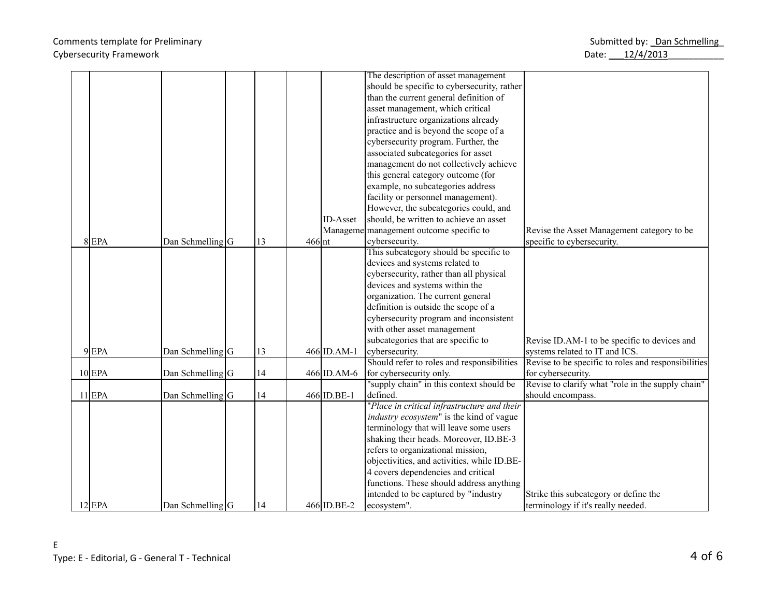## Comments template for Preliminary and the state of the state of the Submitted by: Language Submitted by: Language Submitted by: Language Submitted by: Language Submitted by: Language Submitted by: Language Submitted by: La Cybersecurity Framework Date: 12/4/2013

|          |                      |    |          |                 | The description of asset management         |                                                     |
|----------|----------------------|----|----------|-----------------|---------------------------------------------|-----------------------------------------------------|
|          |                      |    |          |                 | should be specific to cybersecurity, rather |                                                     |
|          |                      |    |          |                 | than the current general definition of      |                                                     |
|          |                      |    |          |                 | asset management, which critical            |                                                     |
|          |                      |    |          |                 | infrastructure organizations already        |                                                     |
|          |                      |    |          |                 | practice and is beyond the scope of a       |                                                     |
|          |                      |    |          |                 | cybersecurity program. Further, the         |                                                     |
|          |                      |    |          |                 | associated subcategories for asset          |                                                     |
|          |                      |    |          |                 | management do not collectively achieve      |                                                     |
|          |                      |    |          |                 | this general category outcome (for          |                                                     |
|          |                      |    |          |                 | example, no subcategories address           |                                                     |
|          |                      |    |          |                 | facility or personnel management).          |                                                     |
|          |                      |    |          |                 | However, the subcategories could, and       |                                                     |
|          |                      |    |          | <b>ID-Asset</b> | should, be written to achieve an asset      |                                                     |
|          |                      |    |          | Manageme        | management outcome specific to              | Revise the Asset Management category to be          |
| $8$ EPA  | Dan Schmelling $ G $ | 13 | $466$ nt |                 | cybersecurity.                              | specific to cybersecurity.                          |
|          |                      |    |          |                 | This subcategory should be specific to      |                                                     |
|          |                      |    |          |                 | devices and systems related to              |                                                     |
|          |                      |    |          |                 | cybersecurity, rather than all physical     |                                                     |
|          |                      |    |          |                 | devices and systems within the              |                                                     |
|          |                      |    |          |                 | organization. The current general           |                                                     |
|          |                      |    |          |                 | definition is outside the scope of a        |                                                     |
|          |                      |    |          |                 | cybersecurity program and inconsistent      |                                                     |
|          |                      |    |          |                 | with other asset management                 |                                                     |
|          |                      |    |          |                 | subcategories that are specific to          | Revise ID.AM-1 to be specific to devices and        |
| $9$ EPA  | Dan Schmelling $ G $ | 13 |          | 466 ID.AM-1     | cybersecurity.                              | systems related to IT and ICS.                      |
|          |                      |    |          |                 | Should refer to roles and responsibilities  | Revise to be specific to roles and responsibilities |
| $10$ EPA | Dan Schmelling $ G $ | 14 |          | 466 ID.AM-6     | for cybersecurity only.                     | for cybersecurity.                                  |
|          |                      |    |          |                 | "supply chain" in this context should be    | Revise to clarify what "role in the supply chain"   |
| $11$ EPA | Dan Schmelling $ G $ | 14 |          | 466 ID.BE-1     | defined.                                    | should encompass.                                   |
|          |                      |    |          |                 | "Place in critical infrastructure and their |                                                     |
|          |                      |    |          |                 | industry ecosystem" is the kind of vague    |                                                     |
|          |                      |    |          |                 | terminology that will leave some users      |                                                     |
|          |                      |    |          |                 | shaking their heads. Moreover, ID.BE-3      |                                                     |
|          |                      |    |          |                 | refers to organizational mission,           |                                                     |
|          |                      |    |          |                 | objectivities, and activities, while ID.BE- |                                                     |
|          |                      |    |          |                 | 4 covers dependencies and critical          |                                                     |
|          |                      |    |          |                 | functions. These should address anything    |                                                     |
|          |                      |    |          |                 | intended to be captured by "industry        | Strike this subcategory or define the               |
| $12$ EPA | Dan Schmelling $ G $ | 14 |          | 466 ID.BE-2     | ecosystem".                                 | terminology if it's really needed.                  |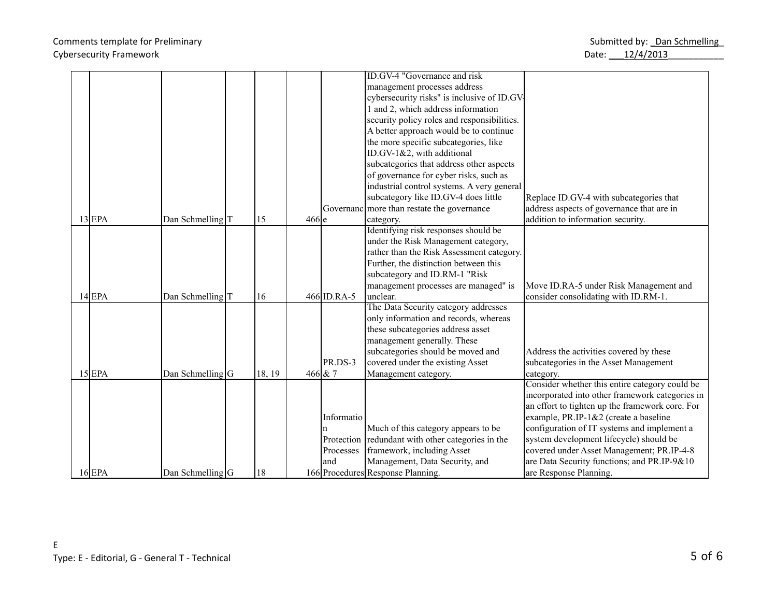## Comments template for Preliminary and the state of the state of the Submitted by: Language Submitted by: Language Submitted by: Language Submitted by: Language Submitted by: Language Submitted by: Language Submitted by: La Cybersecurity Framework Date: 2014/2013

|  |          |                             |        |         |             | ID.GV-4 "Governance and risk                      |                                                 |
|--|----------|-----------------------------|--------|---------|-------------|---------------------------------------------------|-------------------------------------------------|
|  |          |                             |        |         |             | management processes address                      |                                                 |
|  |          |                             |        |         |             | cybersecurity risks" is inclusive of ID.GV        |                                                 |
|  |          |                             |        |         |             | 1 and 2, which address information                |                                                 |
|  |          |                             |        |         |             | security policy roles and responsibilities.       |                                                 |
|  |          |                             |        |         |             | A better approach would be to continue            |                                                 |
|  |          |                             |        |         |             | the more specific subcategories, like             |                                                 |
|  |          |                             |        |         |             | ID.GV-1&2, with additional                        |                                                 |
|  |          |                             |        |         |             | subcategories that address other aspects          |                                                 |
|  |          |                             |        |         |             | of governance for cyber risks, such as            |                                                 |
|  |          |                             |        |         |             | industrial control systems. A very general        |                                                 |
|  |          |                             |        |         |             | subcategory like ID.GV-4 does little              | Replace ID.GV-4 with subcategories that         |
|  |          |                             |        |         |             | Governanc more than restate the governance        | address aspects of governance that are in       |
|  | $13$ EPA | Dan Schmelling <sub>T</sub> | 15     | $466$ e |             | category.                                         | addition to information security.               |
|  |          |                             |        |         |             | Identifying risk responses should be              |                                                 |
|  |          |                             |        |         |             | under the Risk Management category,               |                                                 |
|  |          |                             |        |         |             | rather than the Risk Assessment category.         |                                                 |
|  |          |                             |        |         |             | Further, the distinction between this             |                                                 |
|  |          |                             |        |         |             | subcategory and ID.RM-1 "Risk                     |                                                 |
|  |          |                             |        |         |             | management processes are managed" is              | Move ID.RA-5 under Risk Management and          |
|  | $14$ EPA | Dan Schmelling <sub>T</sub> | 16     |         | 466 ID.RA-5 | unclear.                                          | consider consolidating with ID.RM-1.            |
|  |          |                             |        |         |             | The Data Security category addresses              |                                                 |
|  |          |                             |        |         |             | only information and records, whereas             |                                                 |
|  |          |                             |        |         |             | these subcategories address asset                 |                                                 |
|  |          |                             |        |         |             | management generally. These                       |                                                 |
|  |          |                             |        |         |             | subcategories should be moved and                 | Address the activities covered by these         |
|  |          |                             |        |         | PR.DS-3     | covered under the existing Asset                  | subcategories in the Asset Management           |
|  | $15$ EPA | Dan Schmelling $ G $        | 18, 19 |         | $466 \& 7$  | Management category.                              | category.                                       |
|  |          |                             |        |         |             |                                                   | Consider whether this entire category could be  |
|  |          |                             |        |         |             |                                                   | incorporated into other framework categories in |
|  |          |                             |        |         |             |                                                   | an effort to tighten up the framework core. For |
|  |          |                             |        |         | Informatio  |                                                   | example, PR.IP-1&2 (create a baseline           |
|  |          |                             |        |         | n           | Much of this category appears to be               | configuration of IT systems and implement a     |
|  |          |                             |        |         |             | Protection redundant with other categories in the | system development lifecycle) should be         |
|  |          |                             |        |         | Processes   | framework, including Asset                        | covered under Asset Management; PR.IP-4-8       |
|  |          |                             |        |         | and         | Management, Data Security, and                    | are Data Security functions; and PR.IP-9&10     |
|  | $16$ EPA | Dan Schmelling $G$          | 18     |         |             | 166 Procedures Response Planning.                 | are Response Planning.                          |